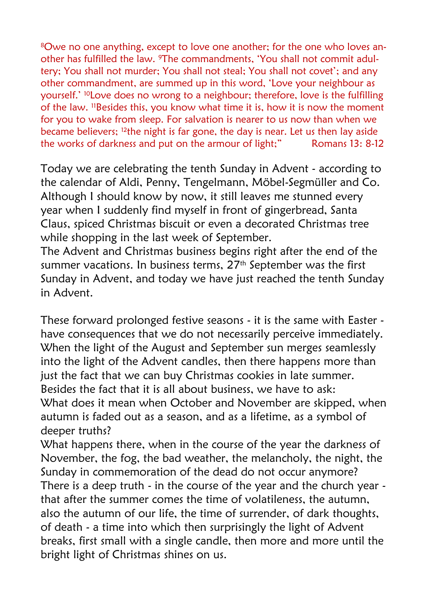8Owe no one anything, except to love one another; for the one who loves another has fulfilled the law. 9The commandments, 'You shall not commit adultery; You shall not murder; You shall not steal; You shall not covet'; and any other commandment, are summed up in this word, 'Love your neighbour as yourself.' 10Love does no wrong to a neighbour; therefore, love is the fulfilling of the law. 11Besides this, you know what time it is, how it is now the moment for you to wake from sleep. For salvation is nearer to us now than when we became believers; 12the night is far gone, the day is near. Let us then lay aside the works of darkness and put on the armour of light;" Romans 13: 8-12

Today we are celebrating the tenth Sunday in Advent - according to the calendar of Aldi, Penny, Tengelmann, Möbel-Segmüller and Co. Although I should know by now, it still leaves me stunned every year when I suddenly find myself in front of gingerbread, Santa Claus, spiced Christmas biscuit or even a decorated Christmas tree while shopping in the last week of September.

The Advent and Christmas business begins right after the end of the summer vacations. In business terms, 27<sup>th</sup> September was the first Sunday in Advent, and today we have just reached the tenth Sunday in Advent.

These forward prolonged festive seasons - it is the same with Easter have consequences that we do not necessarily perceive immediately. When the light of the August and September sun merges seamlessly into the light of the Advent candles, then there happens more than just the fact that we can buy Christmas cookies in late summer. Besides the fact that it is all about business, we have to ask: What does it mean when October and November are skipped, when autumn is faded out as a season, and as a lifetime, as a symbol of deeper truths?

What happens there, when in the course of the year the darkness of November, the fog, the bad weather, the melancholy, the night, the Sunday in commemoration of the dead do not occur anymore? There is a deep truth - in the course of the year and the church year that after the summer comes the time of volatileness, the autumn, also the autumn of our life, the time of surrender, of dark thoughts, of death - a time into which then surprisingly the light of Advent breaks, first small with a single candle, then more and more until the bright light of Christmas shines on us.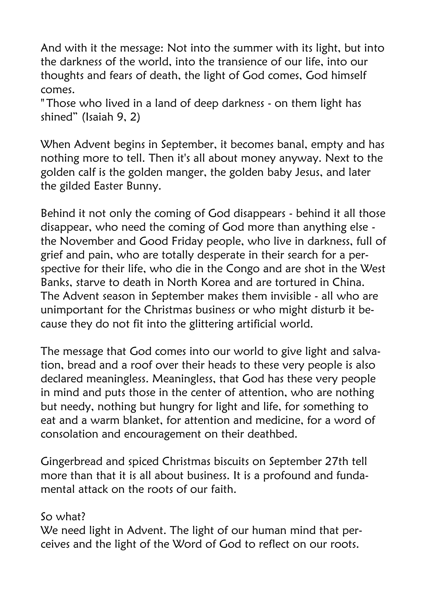And with it the message: Not into the summer with its light, but into the darkness of the world, into the transience of our life, into our thoughts and fears of death, the light of God comes, God himself comes.

" Those who lived in a land of deep darkness - on them light has shined" (Isaiah 9, 2)

When Advent begins in September, it becomes banal, empty and has nothing more to tell. Then it's all about money anyway. Next to the golden calf is the golden manger, the golden baby Jesus, and later the gilded Easter Bunny.

Behind it not only the coming of God disappears - behind it all those disappear, who need the coming of God more than anything else the November and Good Friday people, who live in darkness, full of grief and pain, who are totally desperate in their search for a perspective for their life, who die in the Congo and are shot in the West Banks, starve to death in North Korea and are tortured in China. The Advent season in September makes them invisible - all who are unimportant for the Christmas business or who might disturb it because they do not fit into the glittering artificial world.

The message that God comes into our world to give light and salvation, bread and a roof over their heads to these very people is also declared meaningless. Meaningless, that God has these very people in mind and puts those in the center of attention, who are nothing but needy, nothing but hungry for light and life, for something to eat and a warm blanket, for attention and medicine, for a word of consolation and encouragement on their deathbed.

Gingerbread and spiced Christmas biscuits on September 27th tell more than that it is all about business. It is a profound and fundamental attack on the roots of our faith.

## So what?

We need light in Advent. The light of our human mind that perceives and the light of the Word of God to reflect on our roots.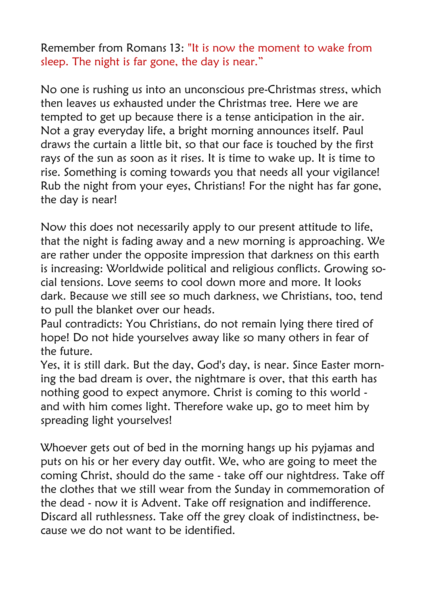Remember from Romans 13: "It is now the moment to wake from sleep. The night is far gone, the day is near."

No one is rushing us into an unconscious pre-Christmas stress, which then leaves us exhausted under the Christmas tree. Here we are tempted to get up because there is a tense anticipation in the air. Not a gray everyday life, a bright morning announces itself. Paul draws the curtain a little bit, so that our face is touched by the first rays of the sun as soon as it rises. It is time to wake up. It is time to rise. Something is coming towards you that needs all your vigilance! Rub the night from your eyes, Christians! For the night has far gone, the day is near!

Now this does not necessarily apply to our present attitude to life, that the night is fading away and a new morning is approaching. We are rather under the opposite impression that darkness on this earth is increasing: Worldwide political and religious conflicts. Growing social tensions. Love seems to cool down more and more. It looks dark. Because we still see so much darkness, we Christians, too, tend to pull the blanket over our heads.

Paul contradicts: You Christians, do not remain lying there tired of hope! Do not hide yourselves away like so many others in fear of the future.

Yes, it is still dark. But the day, God's day, is near. Since Easter morning the bad dream is over, the nightmare is over, that this earth has nothing good to expect anymore. Christ is coming to this world and with him comes light. Therefore wake up, go to meet him by spreading light yourselves!

Whoever gets out of bed in the morning hangs up his pyjamas and puts on his or her every day outfit. We, who are going to meet the coming Christ, should do the same - take off our nightdress. Take off the clothes that we still wear from the Sunday in commemoration of the dead - now it is Advent. Take off resignation and indifference. Discard all ruthlessness. Take off the grey cloak of indistinctness, because we do not want to be identified.